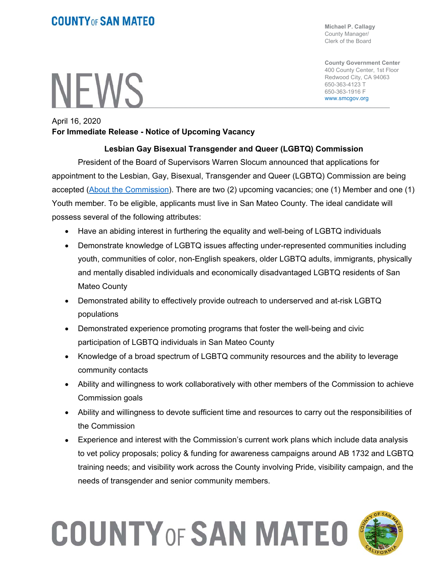### **COUNTY OF SAN MATEO**

# **NEWS**

**Michael P. Callagy**  County Manager/ Clerk of the Board

**County Government Center**  400 County Center, 1st Floor Redwood City, CA 94063 650-363-4123 T 650-363-1916 F www.smcgov.org

#### April 16, 2020 **For Immediate Release - Notice of Upcoming Vacancy**

#### **Lesbian Gay Bisexual Transgender and Queer (LGBTQ) Commission**

President of the Board of Supervisors Warren Slocum announced that applications for appointment to the Lesbian, Gay, Bisexual, Transgender and Queer (LGBTQ) Commission are being accepted (About the Commission). There are two (2) upcoming vacancies; one (1) Member and one (1) Youth member. To be eligible, applicants must live in San Mateo County. The ideal candidate will possess several of the following attributes:

- Have an abiding interest in furthering the equality and well-being of LGBTQ individuals
- Demonstrate knowledge of LGBTQ issues affecting under-represented communities including youth, communities of color, non-English speakers, older LGBTQ adults, immigrants, physically and mentally disabled individuals and economically disadvantaged LGBTQ residents of San Mateo County
- Demonstrated ability to effectively provide outreach to underserved and at-risk LGBTQ populations
- Demonstrated experience promoting programs that foster the well-being and civic participation of LGBTQ individuals in San Mateo County
- Knowledge of a broad spectrum of LGBTQ community resources and the ability to leverage community contacts
- Ability and willingness to work collaboratively with other members of the Commission to achieve Commission goals
- Ability and willingness to devote sufficient time and resources to carry out the responsibilities of the Commission
- Experience and interest with the Commission's current work plans which include data analysis to vet policy proposals; policy & funding for awareness campaigns around AB 1732 and LGBTQ training needs; and visibility work across the County involving Pride, visibility campaign, and the needs of transgender and senior community members.

## **COUNTY OF SAN MATEO**